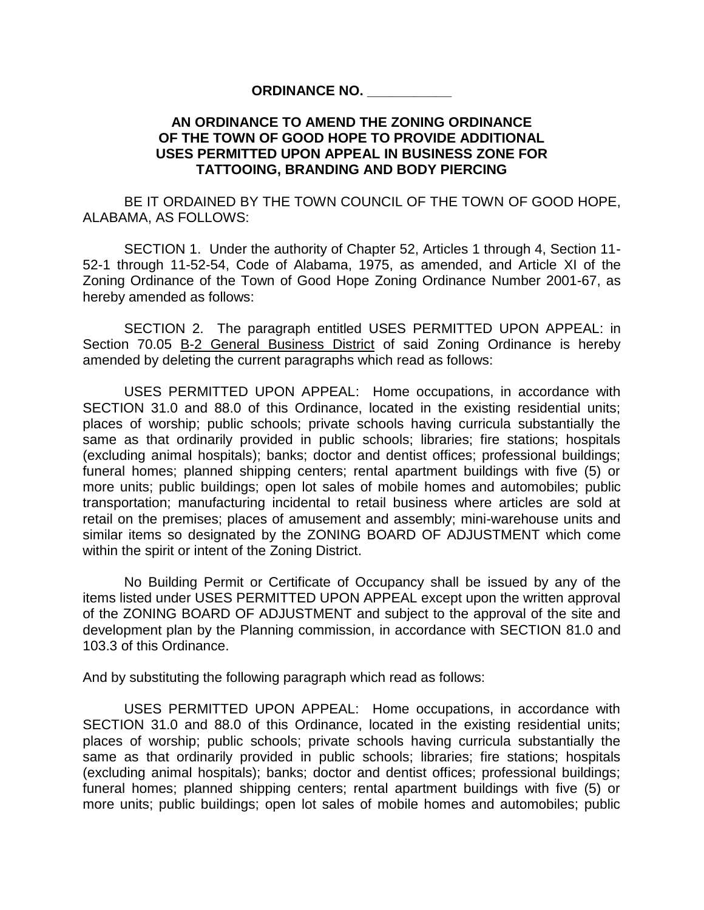## **ORDINANCE NO. \_\_\_\_\_\_\_\_\_\_\_**

## **AN ORDINANCE TO AMEND THE ZONING ORDINANCE OF THE TOWN OF GOOD HOPE TO PROVIDE ADDITIONAL USES PERMITTED UPON APPEAL IN BUSINESS ZONE FOR TATTOOING, BRANDING AND BODY PIERCING**

BE IT ORDAINED BY THE TOWN COUNCIL OF THE TOWN OF GOOD HOPE, ALABAMA, AS FOLLOWS:

SECTION 1.Under the authority of Chapter 52, Articles 1 through 4, Section 11- 52-1 through 11-52-54, Code of Alabama, 1975, as amended, and Article XI of the Zoning Ordinance of the Town of Good Hope Zoning Ordinance Number 2001-67, as hereby amended as follows:

SECTION 2.The paragraph entitled USES PERMITTED UPON APPEAL: in Section 70.05 B-2 General Business District of said Zoning Ordinance is hereby amended by deleting the current paragraphs which read as follows:

USES PERMITTED UPON APPEAL: Home occupations, in accordance with SECTION 31.0 and 88.0 of this Ordinance, located in the existing residential units; places of worship; public schools; private schools having curricula substantially the same as that ordinarily provided in public schools; libraries; fire stations; hospitals (excluding animal hospitals); banks; doctor and dentist offices; professional buildings; funeral homes; planned shipping centers; rental apartment buildings with five (5) or more units; public buildings; open lot sales of mobile homes and automobiles; public transportation; manufacturing incidental to retail business where articles are sold at retail on the premises; places of amusement and assembly; mini-warehouse units and similar items so designated by the ZONING BOARD OF ADJUSTMENT which come within the spirit or intent of the Zoning District.

No Building Permit or Certificate of Occupancy shall be issued by any of the items listed under USES PERMITTED UPON APPEAL except upon the written approval of the ZONING BOARD OF ADJUSTMENT and subject to the approval of the site and development plan by the Planning commission, in accordance with SECTION 81.0 and 103.3 of this Ordinance.

And by substituting the following paragraph which read as follows:

USES PERMITTED UPON APPEAL: Home occupations, in accordance with SECTION 31.0 and 88.0 of this Ordinance, located in the existing residential units; places of worship; public schools; private schools having curricula substantially the same as that ordinarily provided in public schools; libraries; fire stations; hospitals (excluding animal hospitals); banks; doctor and dentist offices; professional buildings; funeral homes; planned shipping centers; rental apartment buildings with five (5) or more units; public buildings; open lot sales of mobile homes and automobiles; public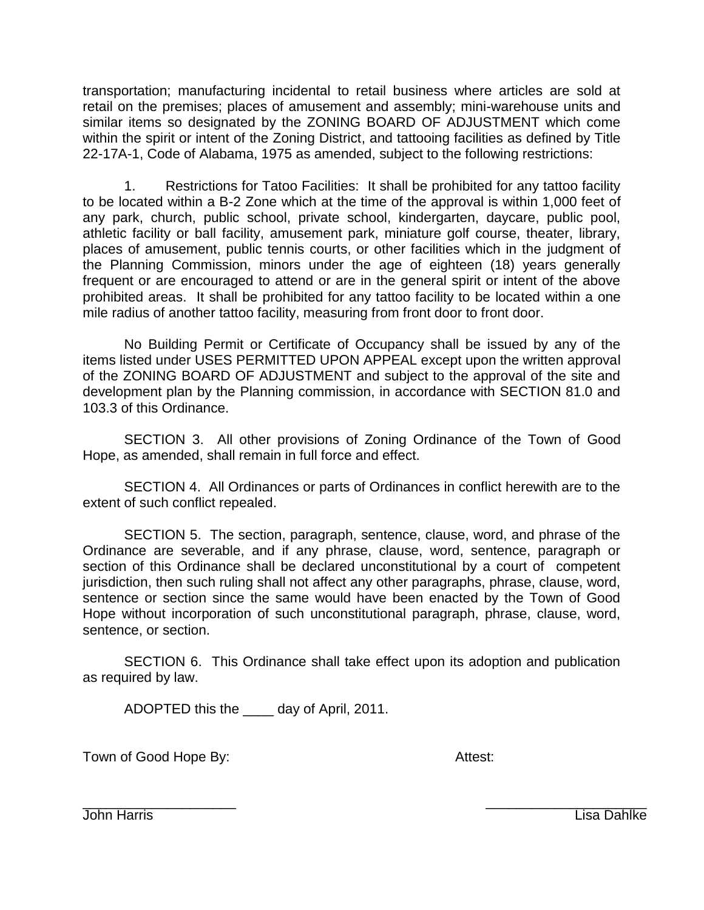transportation; manufacturing incidental to retail business where articles are sold at retail on the premises; places of amusement and assembly; mini-warehouse units and similar items so designated by the ZONING BOARD OF ADJUSTMENT which come within the spirit or intent of the Zoning District, and tattooing facilities as defined by Title 22-17A-1, Code of Alabama, 1975 as amended, subject to the following restrictions:

1. Restrictions for Tatoo Facilities: It shall be prohibited for any tattoo facility to be located within a B-2 Zone which at the time of the approval is within 1,000 feet of any park, church, public school, private school, kindergarten, daycare, public pool, athletic facility or ball facility, amusement park, miniature golf course, theater, library, places of amusement, public tennis courts, or other facilities which in the judgment of the Planning Commission, minors under the age of eighteen (18) years generally frequent or are encouraged to attend or are in the general spirit or intent of the above prohibited areas. It shall be prohibited for any tattoo facility to be located within a one mile radius of another tattoo facility, measuring from front door to front door.

No Building Permit or Certificate of Occupancy shall be issued by any of the items listed under USES PERMITTED UPON APPEAL except upon the written approval of the ZONING BOARD OF ADJUSTMENT and subject to the approval of the site and development plan by the Planning commission, in accordance with SECTION 81.0 and 103.3 of this Ordinance.

SECTION 3. All other provisions of Zoning Ordinance of the Town of Good Hope, as amended, shall remain in full force and effect.

SECTION 4. All Ordinances or parts of Ordinances in conflict herewith are to the extent of such conflict repealed.

SECTION 5. The section, paragraph, sentence, clause, word, and phrase of the Ordinance are severable, and if any phrase, clause, word, sentence, paragraph or section of this Ordinance shall be declared unconstitutional by a court of competent jurisdiction, then such ruling shall not affect any other paragraphs, phrase, clause, word, sentence or section since the same would have been enacted by the Town of Good Hope without incorporation of such unconstitutional paragraph, phrase, clause, word, sentence, or section.

SECTION 6. This Ordinance shall take effect upon its adoption and publication as required by law.

ADOPTED this the \_\_\_\_ day of April, 2011.

Town of Good Hope By: The Contract Contract Attest:

 $\overline{\phantom{a}}$  , and the contract of the contract of the contract of the contract of the contract of the contract of the contract of the contract of the contract of the contract of the contract of the contract of the contrac John Harris Lisa Dahlke